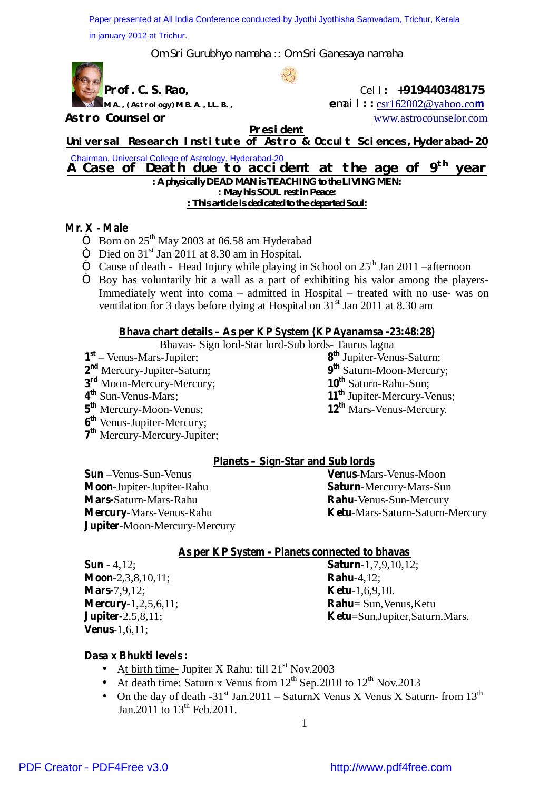Paper presented at All India Conference conducted by Jyothi Jyothisha Samvadam, Trichur, Kerala in january 2012 at Trichur.

*Om Sri Gurubhyo namaha :: Om Sri Ganesaya namaha*



*Prof.C.S.Rao, Cell: +919440348175 M.A.,(Astrology)M.B.A.,LL.B., email::*csr162002@yahoo.co**m** *Astro Counselor* [www.astrocounselor.com](http://www.astrocounselor.com)

*President Universal Research Institute of Astro & Occult Sciences,Hyderabad-20*

**A Case of Death due to accident at the age of 9 th year** *: A physically DEAD MAN is TEACHING to the LIVING MEN:* Chairman, Universal College of Astrology, Hyderabad-20

*: May his SOUL rest in Peace: : This article is dedicated to the departed Soul:*

## **Mr. X - Male**

- ñ Born on 25<sup>th</sup> May 2003 at 06.58 am Hyderabad
- ñ Died on 31<sup>st</sup> Jan 2011 at 8.30 am in Hospital.
- ñ Cause of death Head Injury while playing in School on 25<sup>th</sup> Jan 2011 –afternoon
- ñ Boy has voluntarily hit a wall as a part of exhibiting his valor among the players-Immediately went into coma – admitted in Hospital – treated with no use- was on ventilation for 3 days before dying at Hospital on 31<sup>st</sup> Jan 2011 at 8.30 am

#### **Bhava chart details – As per KP System (KPAyanamsa -23:48:28)**

Bhavas- Sign lord-Star lord-Sub lords- Taurus lagna **8 th** Jupiter-Venus-Saturn;

- **1 st** Venus-Mars-Jupiter;
- **2 nd** Mercury-Jupiter-Saturn;
- **3 rd** Moon-Mercury-Mercury;
- **4 th** Sun-Venus-Mars;
- **5 th** Mercury-Moon-Venus;
- **6 th** Venus-Jupiter-Mercury;

**Sun** –Venus-Sun-Venus **Moon**-Jupiter-Jupiter-Rahu **Mars-**Saturn-Mars-Rahu **Mercury**-Mars-Venus-Rahu **Jupiter**-Moon-Mercury-Mercury

**7 th** Mercury-Mercury-Jupiter;

## **Planets – Sign-Star and Sub lords**

**Venus**-Mars-Venus-Moon **Saturn**-Mercury-Mars-Sun **Rahu**-Venus-Sun-Mercury **Ketu**-Mars-Saturn-Saturn-Mercury

 **th** Saturn-Moon-Mercury; **th** Saturn-Rahu-Sun; **th** Jupiter-Mercury-Venus; **th** Mars-Venus-Mercury.

## **As per KP System - Planets connected to bhavas**

**Sun** - 4,12; **Moon**-2,3,8,10,11; **Mars-**7,9,12; **Mercury**-1,2,5,6,11; **Jupiter-**2,5,8,11; **Venus**-1,6,11;

**Saturn**-1,7,9,10,12; **Rahu**-4,12; **Ketu**-1,6,9,10. **Rahu**= Sun,Venus,Ketu **Ketu**=Sun,Jupiter,Saturn,Mars.

## **Dasa x Bhukti levels :**

- At birth time- Jupiter X Rahu: till  $21<sup>st</sup>$  Nov.2003
- At death time: Saturn x Venus from  $12^{th}$  Sep. 2010 to  $12^{th}$  Nov. 2013
- On the day of death  $-31^{st}$  Jan.2011 SaturnX Venus X Venus X Saturn-from  $13^{th}$ Jan. 2011 to 13<sup>th</sup> Feb. 2011.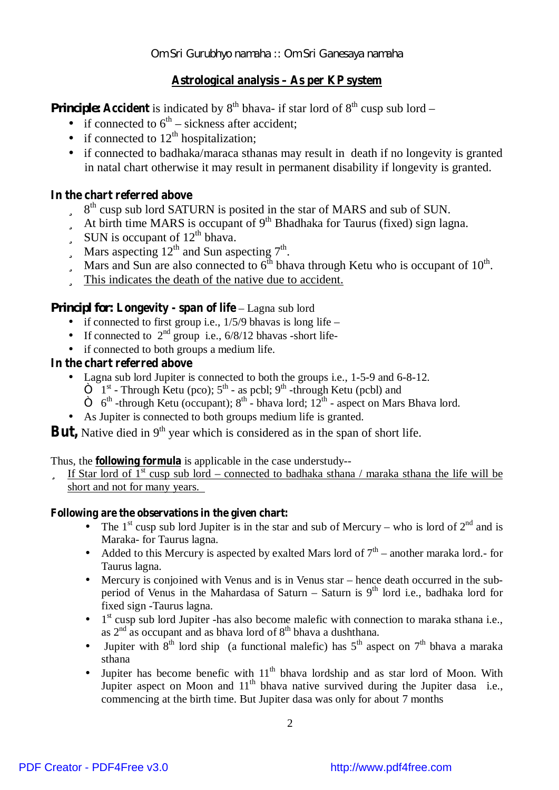## **Astrological analysis – As per KP system**

**Principle: Accident** is indicated by 8<sup>th</sup> bhava- if star lord of 8<sup>th</sup> cusp sub lord –

- if connected to  $6^{\text{th}}$  sickness after accident;
- if connected to  $12<sup>th</sup>$  hospitalization;
- if connected to badhaka/maraca sthanas may result in death if no longevity is granted in natal chart otherwise it may result in permanent disability if longevity is granted.

## **In the chart referred above**

- $\ddot{a}$  8<sup>th</sup> cusp sub lord SATURN is posited in the star of MARS and sub of SUN.
- $\ddot{u}$  At birth time MARS is occupant of 9<sup>th</sup> Bhadhaka for Taurus (fixed) sign lagna.
- $\ddot{u}$  SUN is occupant of 12<sup>th</sup> bhava.
- $\ddot{u}$  Mars aspecting 12<sup>th</sup> and Sun aspecting 7<sup>th</sup>.
- $\ddot{u}$  Mars and Sun are also connected to  $6^{\text{th}}$  bhava through Ketu who is occupant of 10<sup>th</sup>.
- ü This indicates the death of the native due to accident.

## *Principl for:* **Longevity - span of life** – Lagna sub lord

- if connected to first group i.e.,  $1/5/9$  bhavas is long life –
- If connected to  $2<sup>nd</sup>$  group i.e.,  $6/8/12$  bhavas -short life-
- if connected to both groups a medium life.

# **In the chart referred above**

- Lagna sub lord Jupiter is connected to both the groups i.e., 1-5-9 and 6-8-12.
	- $\tilde{n}$  1<sup>st</sup> Through Ketu (pco);  $5^{th}$  as pcbl; 9<sup>th</sup> -through Ketu (pcbl) and
	- $\bar{n}$  6<sup>th</sup> -through Ketu (occupant); 8<sup>th</sup> bhava lord; 12<sup>th</sup> aspect on Mars Bhava lord.
- As Jupiter is connected to both groups medium life is granted.

But, Native died in 9<sup>th</sup> year which is considered as in the span of short life.

Thus, the **following formula** is applicable in the case understudy--

 $\ddot{u}$  If Star lord of 1<sup>st</sup> cusp sub lord – connected to badhaka sthana / maraka sthana the life will be short and not for many years.

## **Following are the observations in the given chart:**

- The 1<sup>st</sup> cusp sub lord Jupiter is in the star and sub of Mercury who is lord of  $2<sup>nd</sup>$  and is Maraka- for Taurus lagna.
- Added to this Mercury is aspected by exalted Mars lord of  $7<sup>th</sup>$  another maraka lord.- for Taurus lagna.
- Mercury is conjoined with Venus and is in Venus star hence death occurred in the subperiod of Venus in the Mahardasa of Saturn - Saturn is 9<sup>th</sup> lord i.e., badhaka lord for fixed sign -Taurus lagna.
- $\bullet$  1<sup>st</sup> cusp sub lord Jupiter -has also become malefic with connection to maraka sthana i.e., as  $2<sup>nd</sup>$  as occupant and as bhava lord of  $8<sup>th</sup>$  bhava a dushthana.
- Jupiter with  $8<sup>th</sup>$  lord ship (a functional malefic) has  $5<sup>th</sup>$  aspect on  $7<sup>th</sup>$  bhava a maraka sthana
- Jupiter has become benefic with  $11<sup>th</sup>$  bhava lordship and as star lord of Moon. With Jupiter aspect on Moon and  $11<sup>th</sup>$  bhava native survived during the Jupiter dasa i.e., commencing at the birth time. But Jupiter dasa was only for about 7 months